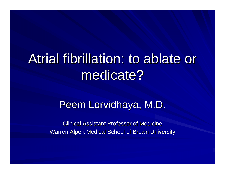# Atrial fibrillation: to ablate or medicate?

#### Peem Lorvidhaya, M.D.

Clinical Assistant Professor of Medicine Warren Alpert Medical School of Brown University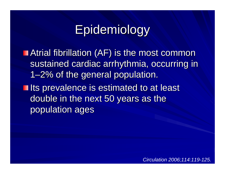# Epidemiology

**Example 13 Atrial fibrillation (AF) is the most common** sustained cardiac arrhythmia, occurring in 1–2% of the general population. **In Its prevalence is estimated to at least** double in the next 50 years as the population ages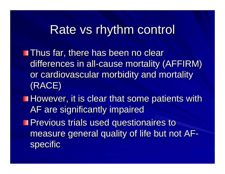#### Rate vs rhythm control

**Thus far, there has been no clear** differences in all-cause mortality (AFFIRM) or cardiovascular morbidity and mortality (RACE)

**However, it is clear that some patients with However, it is clear that some patients with** AF are significantly impaired

**Previous trials used questionaires to** measure general quality of life but not AFspecific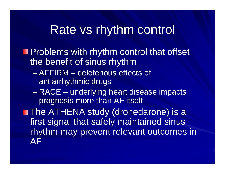#### Rate vs rhythm control

**Problems with rhythm control that offset** the benefit of sinus rhythm

- AFFIRM deleterious effects of antiarrhythmic drugs
- – RACE – underlying heart disease impacts prognosis more than AF itself

**The ATHENA study (dronedarone) is a** first signal that safely maintained sinus rhythm may prevent relevant outcomes in AF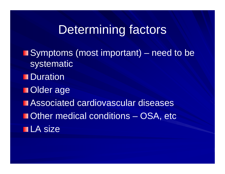### Determining factors

**Symptoms (most important)** – need to be systematic **Duration Older age Example 23 Associated cardiovascular diseases Determinate Conditions – OSA, etc. LA** size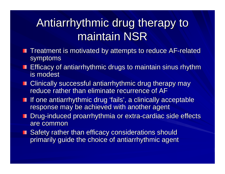# Antiarrhythmic drug therapy to maintain NSR

- Treatment is motivated by attempts to reduce AF-related symptoms
- **Efficacy of antiarrhythmic drugs to maintain sinus rhythm** is modest
- **E** Clinically successful antiarrhythmic drug therapy may reduce rather than eliminate recurrence of AF
- $\blacksquare$  If one antiarrhythmic drug 'fails', a clinically acceptable response may be achieved with another agent
- Drug-induced proarrhythmia or extra-cardiac side effects are common
- Safety rather than efficacy considerations should primarily guide the choice of antiarrhythmic agent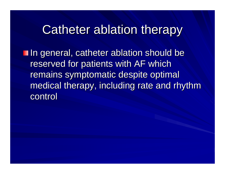### Catheter ablation therapy

**In general, catheter ablation should be** reserved for patients with AF which remains symptomatic despite optimal medical therapy, including rate and rhythm control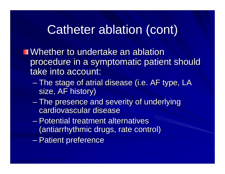# Catheter ablation (cont)

**Number to undertake an ablation Whether to undertake an ablation** procedure in a symptomatic patient should take into account:

- $\mathcal{L}_{\mathcal{A}}$  $-$  The stage of atrial disease (i.e. AF type, LA  $\,$ size, AF history)
- –– The presence and severity of underlying cardiovascular disease
- $\mathcal{L}_{\mathcal{A}}$  , where  $\mathcal{L}_{\mathcal{A}}$  is the set of the set of the set of the set of the set of the set of the set of the set of the set of the set of the set of the set of the set of the set of the set of the set of the – Potential treatment alternatives (antiarrhythmic drugs, rate control)
- $\mathcal{L}_{\mathcal{A}}$ – Patient preference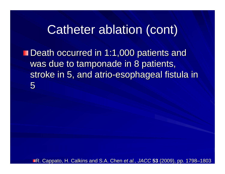### Catheter ablation (cont)

**Death occurred in 1:1,000 patients and** was due to tamponade in 8 patients, stroke in 5, and atrio-esophageal fistula in 5

**R. Cappato, H. Calkins and S.A. Chen** *et al.***,** *JACC* **53 (2009), pp. 1798–1803**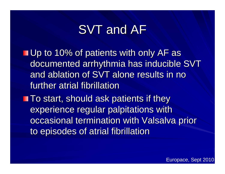# SVT and AF

 $\blacksquare$  Up to 10% of patients with only AF as documented arrhythmia has inducible SVT and ablation of SVT alone results in no further atrial fibrillation

 $\blacksquare$  To start, should ask patients if they experience regular palpitations with occasional termination with Valsalva prior to episodes of atrial fibrillation